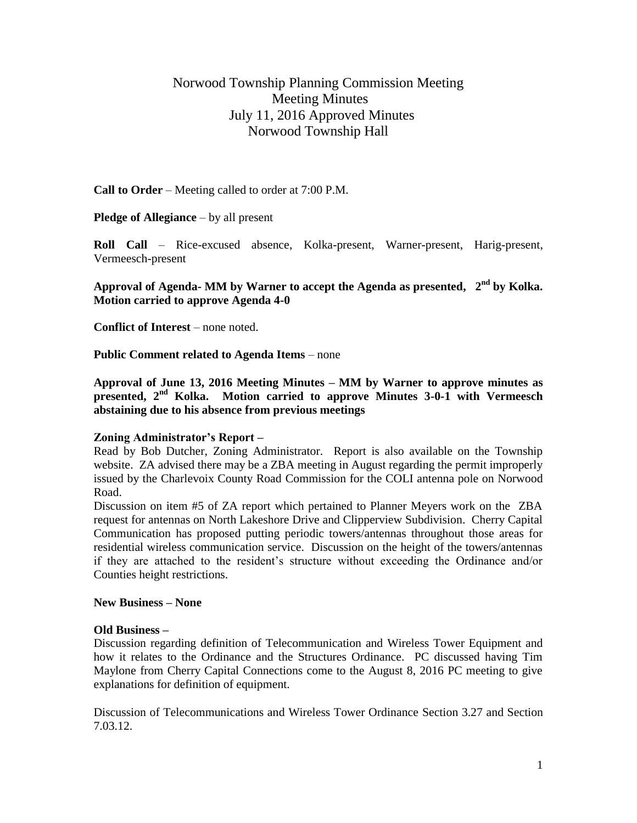# Norwood Township Planning Commission Meeting Meeting Minutes July 11, 2016 Approved Minutes Norwood Township Hall

**Call to Order** – Meeting called to order at 7:00 P.M.

**Pledge of Allegiance** – by all present

**Roll Call** – Rice-excused absence, Kolka-present, Warner-present, Harig-present, Vermeesch-present

**Approval of Agenda- MM by Warner to accept the Agenda as presented, 2 nd by Kolka. Motion carried to approve Agenda 4-0**

**Conflict of Interest** – none noted.

**Public Comment related to Agenda Items** – none

**Approval of June 13, 2016 Meeting Minutes – MM by Warner to approve minutes as presented, 2nd Kolka. Motion carried to approve Minutes 3-0-1 with Vermeesch abstaining due to his absence from previous meetings**

## **Zoning Administrator's Report –**

Read by Bob Dutcher, Zoning Administrator. Report is also available on the Township website. ZA advised there may be a ZBA meeting in August regarding the permit improperly issued by the Charlevoix County Road Commission for the COLI antenna pole on Norwood Road.

Discussion on item #5 of ZA report which pertained to Planner Meyers work on the ZBA request for antennas on North Lakeshore Drive and Clipperview Subdivision. Cherry Capital Communication has proposed putting periodic towers/antennas throughout those areas for residential wireless communication service. Discussion on the height of the towers/antennas if they are attached to the resident's structure without exceeding the Ordinance and/or Counties height restrictions.

#### **New Business – None**

#### **Old Business –**

Discussion regarding definition of Telecommunication and Wireless Tower Equipment and how it relates to the Ordinance and the Structures Ordinance. PC discussed having Tim Maylone from Cherry Capital Connections come to the August 8, 2016 PC meeting to give explanations for definition of equipment.

Discussion of Telecommunications and Wireless Tower Ordinance Section 3.27 and Section 7.03.12.